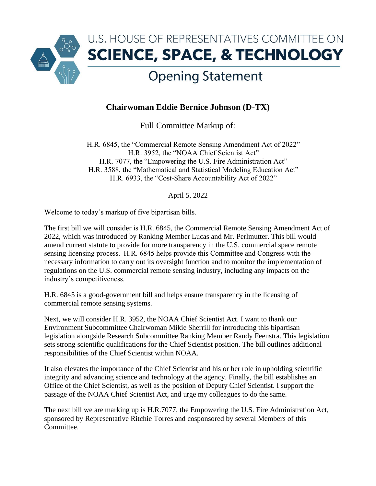

## **Chairwoman Eddie Bernice Johnson (D-TX)**

Full Committee Markup of:

H.R. 6845, the "Commercial Remote Sensing Amendment Act of 2022" H.R. 3952, the "NOAA Chief Scientist Act" H.R. 7077, the "Empowering the U.S. Fire Administration Act" H.R. 3588, the "Mathematical and Statistical Modeling Education Act" H.R. 6933, the "Cost-Share Accountability Act of 2022"

April 5, 2022

Welcome to today's markup of five bipartisan bills.

The first bill we will consider is H.R. 6845, the Commercial Remote Sensing Amendment Act of 2022, which was introduced by Ranking Member Lucas and Mr. Perlmutter. This bill would amend current statute to provide for more transparency in the U.S. commercial space remote sensing licensing process.  H.R. 6845 helps provide this Committee and Congress with the necessary information to carry out its oversight function and to monitor the implementation of regulations on the U.S. commercial remote sensing industry, including any impacts on the industry's competitiveness. 

H.R. 6845 is a good-government bill and helps ensure transparency in the licensing of commercial remote sensing systems.

Next, we will consider H.R. 3952, the NOAA Chief Scientist Act. I want to thank our Environment Subcommittee Chairwoman Mikie Sherrill for introducing this bipartisan legislation alongside Research Subcommittee Ranking Member Randy Feenstra. This legislation sets strong scientific qualifications for the Chief Scientist position. The bill outlines additional responsibilities of the Chief Scientist within NOAA.

It also elevates the importance of the Chief Scientist and his or her role in upholding scientific integrity and advancing science and technology at the agency. Finally, the bill establishes an Office of the Chief Scientist, as well as the position of Deputy Chief Scientist. I support the passage of the NOAA Chief Scientist Act, and urge my colleagues to do the same.

The next bill we are marking up is H.R.7077, the Empowering the U.S. Fire Administration Act, sponsored by Representative Ritchie Torres and cosponsored by several Members of this Committee.